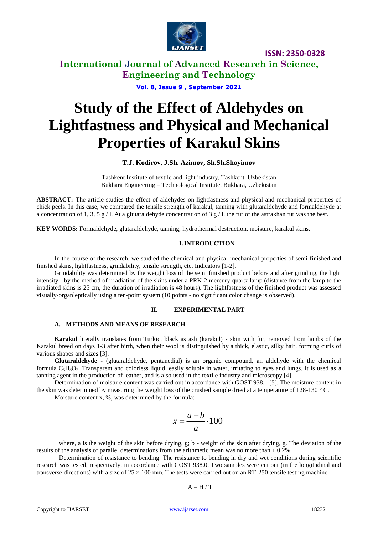

**International Journal of Advanced Research in Science, Engineering and Technology**

**Vol. 8, Issue 9 , September 2021**

# **Study of the Effect of Aldehydes on Lightfastness and Physical and Mechanical Properties of Karakul Skins**

## **T.J. Kodirov, J.Sh. Azimov, Sh.Sh.Shoyimov**

Tashkent Institute of textile and light industry, Tashkent, Uzbekistan Bukhara Engineering – Technological Institute, Bukhara, Uzbekistan

**ABSTRACT:** The article studies the effect of aldehydes on lightfastness and physical and mechanical properties of chick peels. In this case, we compared the tensile strength of karakul, tanning with glutaraldehyde and formaldehyde at a concentration of 1, 3, 5 g / l. At a glutaraldehyde concentration of 3 g / l, the fur of the astrakhan fur was the best.

**KEY WORDS:** Formaldehyde, glutaraldehyde, tanning, hydrothermal destruction, moisture, karakul skins.

## **I.INTRODUCTION**

In the course of the research, we studied the chemical and physical-mechanical properties of semi-finished and finished skins, lightfastness, grindability, tensile strength, etc. Indicators [1-2].

Grindability was determined by the weight loss of the semi finished product before and after grinding, the light intensity - by the method of irradiation of the skins under a PRK-2 mercury-quartz lamp (distance from the lamp to the irradiated skins is 25 cm, the duration of irradiation is 48 hours). The lightfastness of the finished product was assessed visually-organleptically using a ten-point system (10 points - no significant color change is observed).

#### **II. EXPERIMENTAL PART**

## **A. METHODS AND MEANS OF RESEARCH**

**Karakul** literally translates from Turkic, black as ash (karakul) - skin with fur, removed from lambs of the Karakul breed on days 1-3 after birth, when their wool is distinguished by a thick, elastic, silky hair, forming curls of various shapes and sizes [3].

**Glutaraldehyde** - (glutaraldehyde, pentanedial) is an organic compound, an aldehyde with the chemical formula  $C_5H_8O_2$ . Transparent and colorless liquid, easily soluble in water, irritating to eyes and lungs. It is used as a tanning agent in the production of leather, and is also used in the textile industry and microscopy [4].

Determination of moisture content was carried out in accordance with GOST 938.1 [5]. The moisture content in the skin was determined by measuring the weight loss of the crushed sample dried at a temperature of 128-130 °C.

Moisture content x, %, was determined by the formula:

$$
x = \frac{a-b}{a} \cdot 100
$$

where, a is the weight of the skin before drying, g; b - weight of the skin after drying, g. The deviation of the results of the analysis of parallel determinations from the arithmetic mean was no more than  $\pm$  0.2%.

Determination of resistance to bending. The resistance to bending in dry and wet conditions during scientific research was tested, respectively, in accordance with GOST 938.0. Two samples were cut out (in the longitudinal and transverse directions) with a size of  $25 \times 100$  mm. The tests were carried out on an RT-250 tensile testing machine.

$$
A=H\,/\,T
$$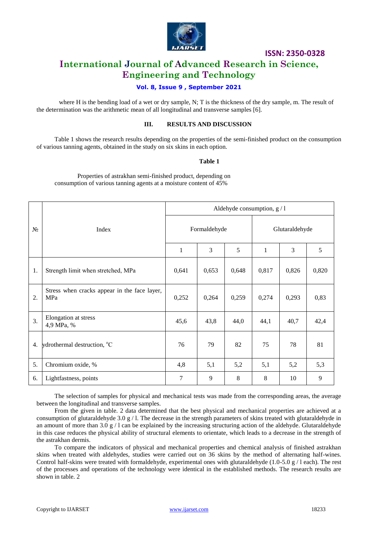

## **International Journal of Advanced Research in Science, Engineering and Technology**

## **Vol. 8, Issue 9 , September 2021**

where H is the bending load of a wet or dry sample, N; T is the thickness of the dry sample, m. The result of the determination was the arithmetic mean of all longitudinal and transverse samples [6].

## **III. RESULTS AND DISCUSSION**

Table 1 shows the research results depending on the properties of the semi-finished product on the consumption of various tanning agents, obtained in the study on six skins in each option.

## **Table 1**

Properties of astrakhan semi-finished product, depending on consumption of various tanning agents at a moisture content of 45%

|       | Index                                               | Aldehyde consumption, $g/1$ |       |       |                |       |       |  |
|-------|-----------------------------------------------------|-----------------------------|-------|-------|----------------|-------|-------|--|
| $N_2$ |                                                     | Formaldehyde                |       |       | Glutaraldehyde |       |       |  |
|       |                                                     | $\mathbf{1}$                | 3     | 5     | $\mathbf{1}$   | 3     | 5     |  |
| 1.    | Strength limit when stretched, MPa                  | 0,641                       | 0,653 | 0,648 | 0,817          | 0,826 | 0,820 |  |
| 2.    | Stress when cracks appear in the face layer,<br>MPa | 0,252                       | 0,264 | 0,259 | 0,274          | 0,293 | 0,83  |  |
| 3.    | Elongation at stress<br>4,9 MPa, %                  | 45,6                        | 43,8  | 44,0  | 44,1           | 40,7  | 42,4  |  |
| 4.    | ydrothermal destruction, <sup>o</sup> C             | 76                          | 79    | 82    | 75             | 78    | 81    |  |
| 5.    | Chromium oxide, %                                   | 4,8                         | 5,1   | 5,2   | 5,1            | 5,2   | 5,3   |  |
| 6.    | Lightfastness, points                               | 7                           | 9     | 8     | 8              | 10    | 9     |  |

The selection of samples for physical and mechanical tests was made from the corresponding areas, the average between the longitudinal and transverse samples.

From the given in table. 2 data determined that the best physical and mechanical properties are achieved at a consumption of glutaraldehyde 3.0 g / l. The decrease in the strength parameters of skins treated with glutaraldehyde in an amount of more than 3.0  $g / 1$  can be explained by the increasing structuring action of the aldehyde. Glutaraldehyde in this case reduces the physical ability of structural elements to orientate, which leads to a decrease in the strength of the astrakhan dermis.

To compare the indicators of physical and mechanical properties and chemical analysis of finished astrakhan skins when treated with aldehydes, studies were carried out on 36 skins by the method of alternating half-wines. Control half-skins were treated with formaldehyde, experimental ones with glutaraldehyde (1.0-5.0 g / l each). The rest of the processes and operations of the technology were identical in the established methods. The research results are shown in table. 2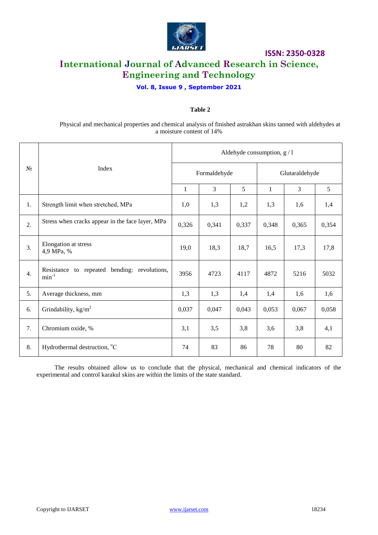

## **ISSN: 2350-0328 International Journal of Advanced Research in Science, Engineering and Technology**

## **Vol. 8, Issue 9 , September 2021**

## **Table 2**

Physical and mechanical properties and chemical analysis of finished astrakhan skins tanned with aldehydes at a moisture content of 14%

| $N_2$            | Index                                                      | Aldehyde consumption, g / 1 |       |       |                |                |       |  |
|------------------|------------------------------------------------------------|-----------------------------|-------|-------|----------------|----------------|-------|--|
|                  |                                                            | Formaldehyde                |       |       | Glutaraldehyde |                |       |  |
|                  |                                                            | 1                           | 3     | 5     | $\mathbf{1}$   | $\overline{3}$ | 5     |  |
| 1.               | Strength limit when stretched, MPa                         | 1,0                         | 1,3   | 1,2   | 1,3            | 1,6            | 1,4   |  |
| $\overline{2}$ . | Stress when cracks appear in the face layer, MPa           | 0,326                       | 0,341 | 0,337 | 0,348          | 0,365          | 0,354 |  |
| 3.               | Elongation at stress<br>4,9 MPa, %                         | 19,0                        | 18,3  | 18,7  | 16,5           | 17,3           | 17,8  |  |
| 4.               | Resistance to repeated bending: revolutions,<br>$min^{-1}$ | 3956                        | 4723  | 4117  | 4872           | 5216           | 5032  |  |
| 5.               | Average thickness, mm                                      | 1,3                         | 1,3   | 1,4   | 1,4            | 1,6            | 1,6   |  |
| 6.               | Grindability, $\text{kg/m}^2$                              | 0,037                       | 0,047 | 0,043 | 0,053          | 0,067          | 0,058 |  |
| 7.               | Chromium oxide, %                                          | 3,1                         | 3,5   | 3,8   | 3,6            | 3,8            | 4,1   |  |
| 8.               | Hydrothermal destruction, <sup>o</sup> C                   | 74                          | 83    | 86    | 78             | 80             | 82    |  |

The results obtained allow us to conclude that the physical, mechanical and chemical indicators of the experimental and control karakul skins are within the limits of the state standard.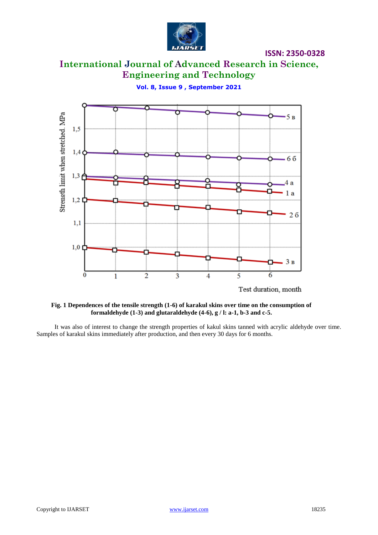

# **International Journal of Advanced Research in Science, Engineering and Technology**

**Vol. 8, Issue 9 , September 2021**



**Fig. 1 Dependences of the tensile strength (1-6) of karakul skins over time on the consumption of formaldehyde (1-3) and glutaraldehyde (4-6), g / l: a-1, b-3 and c-5.**

It was also of interest to change the strength properties of kakul skins tanned with acrylic aldehyde over time. Samples of karakul skins immediately after production, and then every 30 days for 6 months.